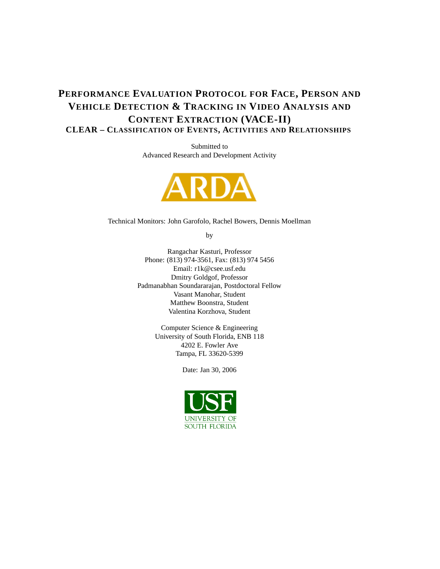## **PERFORMANCE EVALUATION PROTOCOL FOR FACE, PERSON AND VEHICLE DETECTION & TRACKING IN VIDEO ANALYSIS AND CONTENT EXTRACTION (VACE-II) CLEAR – CLASSIFICATION OF EVENTS, ACTIVITIES AND RELATIONSHIPS**

Submitted to Advanced Research and Development Activity



Technical Monitors: John Garofolo, Rachel Bowers, Dennis Moellman

by

Rangachar Kasturi, Professor Phone: (813) 974-3561, Fax: (813) 974 5456 Email: r1k@csee.usf.edu Dmitry Goldgof, Professor Padmanabhan Soundararajan, Postdoctoral Fellow Vasant Manohar, Student Matthew Boonstra, Student Valentina Korzhova, Student

> Computer Science & Engineering University of South Florida, ENB 118 4202 E. Fowler Ave Tampa, FL 33620-5399

> > Date: Jan 30, 2006

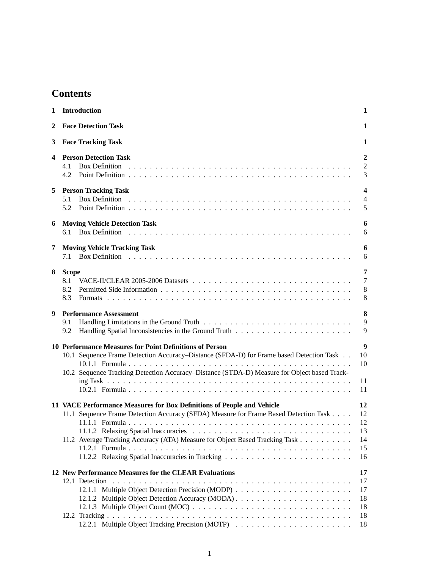## **Contents**

| 1            | <b>Introduction</b><br>1                                                                                                                                                                                                                          |                                                |  |
|--------------|---------------------------------------------------------------------------------------------------------------------------------------------------------------------------------------------------------------------------------------------------|------------------------------------------------|--|
| $\mathbf{2}$ | <b>Face Detection Task</b>                                                                                                                                                                                                                        | 1                                              |  |
| 3            | <b>Face Tracking Task</b>                                                                                                                                                                                                                         | 1                                              |  |
| 4            | <b>Person Detection Task</b><br>4.1<br>4.2                                                                                                                                                                                                        | $\overline{2}$<br>2<br>3                       |  |
| 5            | <b>Person Tracking Task</b><br>5.1<br>5.2                                                                                                                                                                                                         | $\overline{\mathbf{4}}$<br>$\overline{4}$<br>5 |  |
| 6            | <b>Moving Vehicle Detection Task</b><br>6.1                                                                                                                                                                                                       | 6<br>6                                         |  |
| 7            | <b>Moving Vehicle Tracking Task</b>                                                                                                                                                                                                               | 6<br>6                                         |  |
| 8            | <b>Scope</b><br>8.1<br>8.2<br>8.3                                                                                                                                                                                                                 | 7<br>$\overline{7}$<br>8<br>8                  |  |
| 9            | <b>Performance Assessment</b><br>9.1<br>9.2                                                                                                                                                                                                       | 8<br>9<br>9                                    |  |
|              | 10 Performance Measures for Point Definitions of Person<br>10.1 Sequence Frame Detection Accuracy–Distance (SFDA-D) for Frame based Detection Task<br>10.2 Sequence Tracking Detection Accuracy-Distance (STDA-D) Measure for Object based Track- | 9<br>10<br>10<br>11<br>11                      |  |
|              | 11 VACE Performance Measures for Box Definitions of People and Vehicle<br>11.1 Sequence Frame Detection Accuracy (SFDA) Measure for Frame Based Detection Task<br>11.2 Average Tracking Accuracy (ATA) Measure for Object Based Tracking Task     | 12<br>12<br>12<br>13<br>14<br>15<br>16         |  |
|              | 12 New Performance Measures for the CLEAR Evaluations                                                                                                                                                                                             | 17<br>17<br>17<br>18<br>18<br>18<br>18         |  |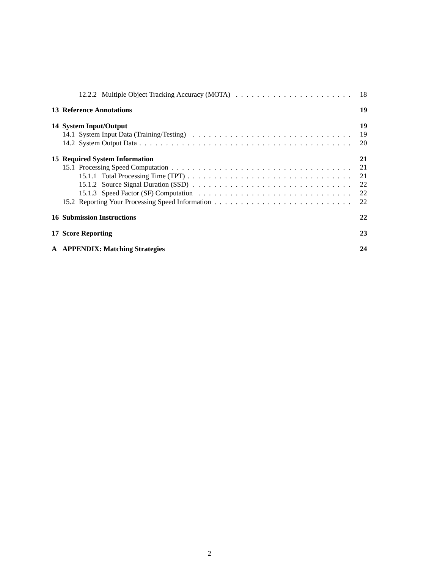| <b>13 Reference Annotations</b>   | 19             |
|-----------------------------------|----------------|
| 14 System Input/Output            | 19<br>19<br>20 |
| 15 Required System Information    | 21<br>21<br>22 |
| <b>16 Submission Instructions</b> | 22             |
| 17 Score Reporting                | 23             |
| A APPENDIX: Matching Strategies   | 24             |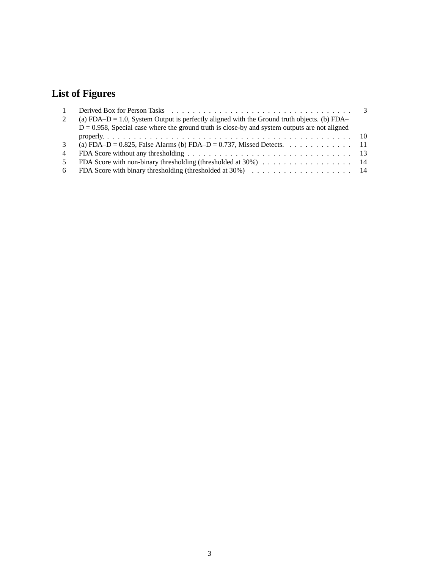# **List of Figures**

| $\overline{1}$ |                                                                                                  |  |
|----------------|--------------------------------------------------------------------------------------------------|--|
| 2              | (a) FDA-D = 1.0, System Output is perfectly aligned with the Ground truth objects. (b) FDA-      |  |
|                | $D = 0.958$ , Special case where the ground truth is close-by and system outputs are not aligned |  |
|                |                                                                                                  |  |
| $\mathcal{E}$  | (a) FDA-D = 0.825, False Alarms (b) FDA-D = 0.737, Missed Detects. 11                            |  |
| $\overline{4}$ |                                                                                                  |  |
| -5.            |                                                                                                  |  |
| 6              |                                                                                                  |  |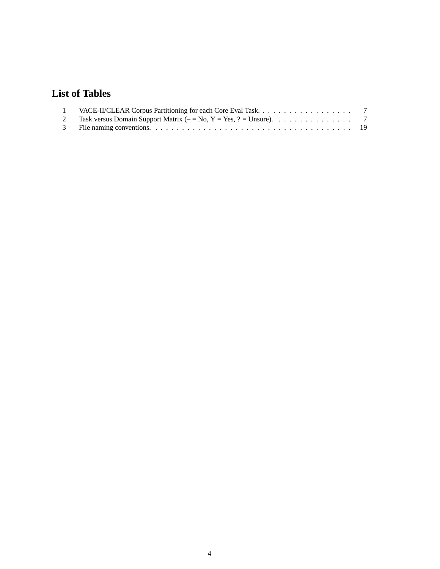## **List of Tables**

| 2 Task versus Domain Support Matrix ( $-$ No, Y = Yes, ? = Unsure). 7 |  |
|-----------------------------------------------------------------------|--|
|                                                                       |  |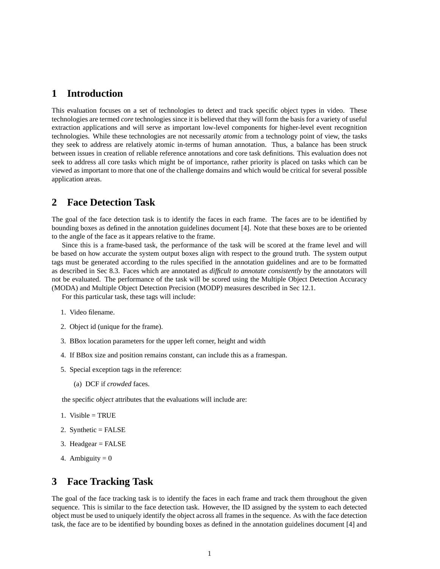## **1 Introduction**

This evaluation focuses on a set of technologies to detect and track specific object types in video. These technologies are termed *core* technologies since it is believed that they will form the basis for a variety of useful extraction applications and will serve as important low-level components for higher-level event recognition technologies. While these technologies are not necessarily *atomic* from a technology point of view, the tasks they seek to address are relatively atomic in-terms of human annotation. Thus, a balance has been struck between issues in creation of reliable reference annotations and core task definitions. This evaluation does not seek to address all core tasks which might be of importance, rather priority is placed on tasks which can be viewed as important to more that one of the challenge domains and which would be critical for several possible application areas.

## **2 Face Detection Task**

The goal of the face detection task is to identify the faces in each frame. The faces are to be identified by bounding boxes as defined in the annotation guidelines document [4]. Note that these boxes are to be oriented to the angle of the face as it appears relative to the frame.

Since this is a frame-based task, the performance of the task will be scored at the frame level and will be based on how accurate the system output boxes align with respect to the ground truth. The system output tags must be generated according to the rules specified in the annotation guidelines and are to be formatted as described in Sec 8.3. Faces which are annotated as *difficult to annotate consistently* by the annotators will not be evaluated. The performance of the task will be scored using the Multiple Object Detection Accuracy (MODA) and Multiple Object Detection Precision (MODP) measures described in Sec 12.1.

For this particular task, these tags will include:

- 1. Video filename.
- 2. Object id (unique for the frame).
- 3. BBox location parameters for the upper left corner, height and width
- 4. If BBox size and position remains constant, can include this as a framespan.
- 5. Special exception tags in the reference:
	- (a) DCF if *crowded* faces.

the specific *object* attributes that the evaluations will include are:

- 1. Visible =  $TRUE$
- 2. Synthetic = FALSE
- 3. Headgear = FALSE
- 4. Ambiguity  $= 0$

## **3 Face Tracking Task**

The goal of the face tracking task is to identify the faces in each frame and track them throughout the given sequence. This is similar to the face detection task. However, the ID assigned by the system to each detected object must be used to uniquely identify the object across all frames in the sequence. As with the face detection task, the face are to be identified by bounding boxes as defined in the annotation guidelines document [4] and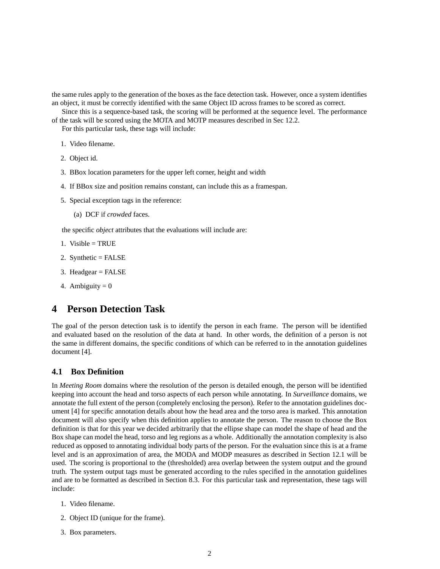the same rules apply to the generation of the boxes as the face detection task. However, once a system identifies an object, it must be correctly identified with the same Object ID across frames to be scored as correct.

Since this is a sequence-based task, the scoring will be performed at the sequence level. The performance of the task will be scored using the MOTA and MOTP measures described in Sec 12.2.

For this particular task, these tags will include:

- 1. Video filename.
- 2. Object id.
- 3. BBox location parameters for the upper left corner, height and width
- 4. If BBox size and position remains constant, can include this as a framespan.
- 5. Special exception tags in the reference:
	- (a) DCF if *crowded* faces.

the specific *object* attributes that the evaluations will include are:

- 1. Visible  $=$  TRUE
- 2. Synthetic = FALSE
- 3. Headgear = FALSE
- 4. Ambiguity  $= 0$

## **4 Person Detection Task**

The goal of the person detection task is to identify the person in each frame. The person will be identified and evaluated based on the resolution of the data at hand. In other words, the definition of a person is not the same in different domains, the specific conditions of which can be referred to in the annotation guidelines document [4].

### **4.1 Box Definition**

In *Meeting Room* domains where the resolution of the person is detailed enough, the person will be identified keeping into account the head and torso aspects of each person while annotating. In *Surveillance* domains, we annotate the full extent of the person (completely enclosing the person). Refer to the annotation guidelines document [4] for specific annotation details about how the head area and the torso area is marked. This annotation document will also specify when this definition applies to annotate the person. The reason to choose the Box definition is that for this year we decided arbitrarily that the ellipse shape can model the shape of head and the Box shape can model the head, torso and leg regions as a whole. Additionally the annotation complexity is also reduced as opposed to annotating individual body parts of the person. For the evaluation since this is at a frame level and is an approximation of area, the MODA and MODP measures as described in Section 12.1 will be used. The scoring is proportional to the (thresholded) area overlap between the system output and the ground truth. The system output tags must be generated according to the rules specified in the annotation guidelines and are to be formatted as described in Section 8.3. For this particular task and representation, these tags will include:

- 1. Video filename.
- 2. Object ID (unique for the frame).
- 3. Box parameters.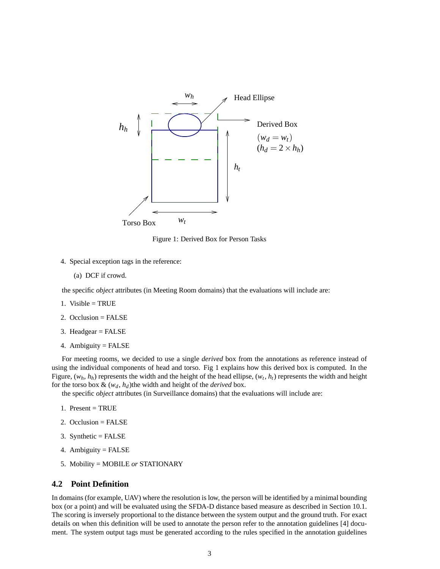

Figure 1: Derived Box for Person Tasks

- 4. Special exception tags in the reference:
	- (a) DCF if crowd.

the specific *object* attributes (in Meeting Room domains) that the evaluations will include are:

- 1. Visible  $=$  TRUE
- 2. Occlusion = FALSE
- 3. Headgear = FALSE
- 4. Ambiguity = FALSE

For meeting rooms, we decided to use a single *derived* box from the annotations as reference instead of using the individual components of head and torso. Fig 1 explains how this derived box is computed. In the Figure,  $(w_h, h_h)$  represents the width and the height of the head ellipse,  $(w_t, h_t)$  represents the width and height for the torso box  $\&$  ( $w_d$ ,  $h_d$ )the width and height of the *derived* box.

the specific *object* attributes (in Surveillance domains) that the evaluations will include are:

- 1. Present  $=$  TRUE
- 2. Occlusion = FALSE
- 3. Synthetic = FALSE
- 4. Ambiguity = FALSE
- 5. Mobility = MOBILE *or* STATIONARY

#### **4.2 Point Definition**

In domains (for example, UAV) where the resolution is low, the person will be identified by a minimal bounding box (or a point) and will be evaluated using the SFDA-D distance based measure as described in Section 10.1. The scoring is inversely proportional to the distance between the system output and the ground truth. For exact details on when this definition will be used to annotate the person refer to the annotation guidelines [4] document. The system output tags must be generated according to the rules specified in the annotation guidelines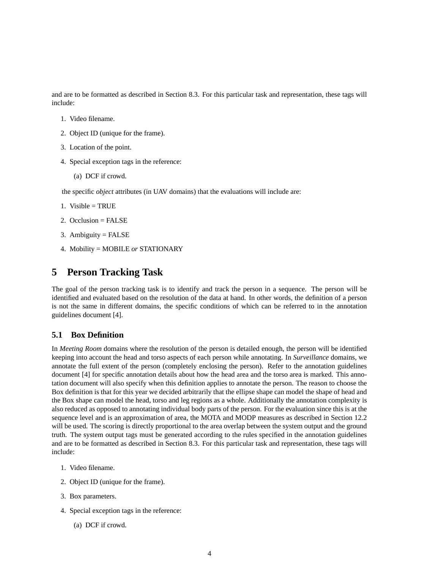and are to be formatted as described in Section 8.3. For this particular task and representation, these tags will include:

- 1. Video filename.
- 2. Object ID (unique for the frame).
- 3. Location of the point.
- 4. Special exception tags in the reference:
	- (a) DCF if crowd.

the specific *object* attributes (in UAV domains) that the evaluations will include are:

- 1. Visible  $=$  TRUE
- 2. Occlusion =  $FALSE$
- 3. Ambiguity  $=$  FALSE
- 4. Mobility = MOBILE *or* STATIONARY

## **5 Person Tracking Task**

The goal of the person tracking task is to identify and track the person in a sequence. The person will be identified and evaluated based on the resolution of the data at hand. In other words, the definition of a person is not the same in different domains, the specific conditions of which can be referred to in the annotation guidelines document [4].

### **5.1 Box Definition**

In *Meeting Room* domains where the resolution of the person is detailed enough, the person will be identified keeping into account the head and torso aspects of each person while annotating. In *Surveillance* domains, we annotate the full extent of the person (completely enclosing the person). Refer to the annotation guidelines document [4] for specific annotation details about how the head area and the torso area is marked. This annotation document will also specify when this definition applies to annotate the person. The reason to choose the Box definition is that for this year we decided arbitrarily that the ellipse shape can model the shape of head and the Box shape can model the head, torso and leg regions as a whole. Additionally the annotation complexity is also reduced as opposed to annotating individual body parts of the person. For the evaluation since this is at the sequence level and is an approximation of area, the MOTA and MODP measures as described in Section 12.2 will be used. The scoring is directly proportional to the area overlap between the system output and the ground truth. The system output tags must be generated according to the rules specified in the annotation guidelines and are to be formatted as described in Section 8.3. For this particular task and representation, these tags will include:

- 1. Video filename.
- 2. Object ID (unique for the frame).
- 3. Box parameters.
- 4. Special exception tags in the reference:
	- (a) DCF if crowd.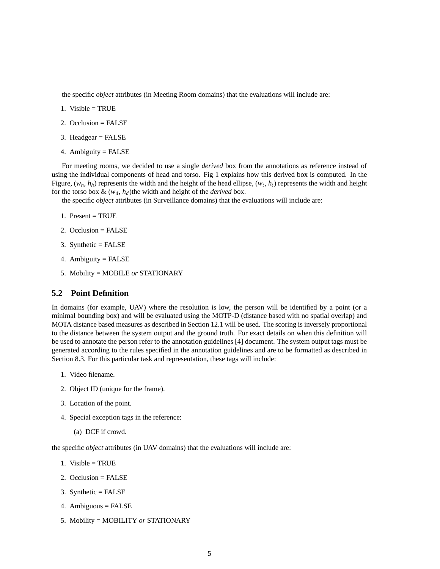the specific *object* attributes (in Meeting Room domains) that the evaluations will include are:

- 1. Visible  $=$  TRUE
- 2. Occlusion = FALSE
- 3. Headgear = FALSE
- 4. Ambiguity = FALSE

For meeting rooms, we decided to use a single *derived* box from the annotations as reference instead of using the individual components of head and torso. Fig 1 explains how this derived box is computed. In the Figure,  $(w_h, h_h)$  represents the width and the height of the head ellipse,  $(w_t, h_t)$  represents the width and height for the torso box  $\&$   $(w_d, h_d)$ the width and height of the *derived* box.

the specific *object* attributes (in Surveillance domains) that the evaluations will include are:

- 1. Present  $=$  TRUE
- 2. Occlusion = FALSE
- 3. Synthetic = FALSE
- 4. Ambiguity  $=$  FALSE
- 5. Mobility = MOBILE *or* STATIONARY

### **5.2 Point Definition**

In domains (for example, UAV) where the resolution is low, the person will be identified by a point (or a minimal bounding box) and will be evaluated using the MOTP-D (distance based with no spatial overlap) and MOTA distance based measures as described in Section 12.1 will be used. The scoring is inversely proportional to the distance between the system output and the ground truth. For exact details on when this definition will be used to annotate the person refer to the annotation guidelines [4] document. The system output tags must be generated according to the rules specified in the annotation guidelines and are to be formatted as described in Section 8.3. For this particular task and representation, these tags will include:

- 1. Video filename.
- 2. Object ID (unique for the frame).
- 3. Location of the point.
- 4. Special exception tags in the reference:
	- (a) DCF if crowd.

the specific *object* attributes (in UAV domains) that the evaluations will include are:

- 1. Visible  $=$  TRUE
- 2. Occlusion = FALSE
- 3. Synthetic = FALSE
- 4. Ambiguous = FALSE
- 5. Mobility = MOBILITY *or* STATIONARY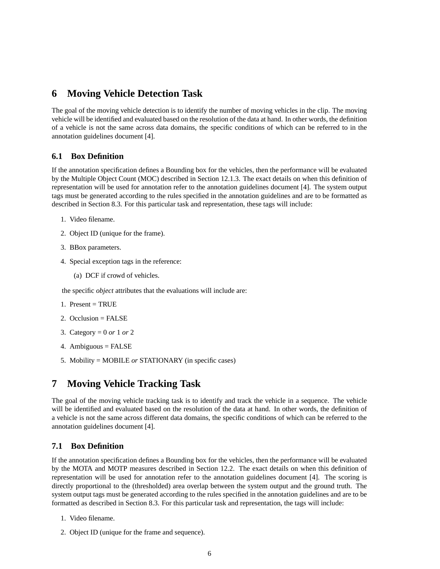## **6 Moving Vehicle Detection Task**

The goal of the moving vehicle detection is to identify the number of moving vehicles in the clip. The moving vehicle will be identified and evaluated based on the resolution of the data at hand. In other words, the definition of a vehicle is not the same across data domains, the specific conditions of which can be referred to in the annotation guidelines document [4].

### **6.1 Box Definition**

If the annotation specification defines a Bounding box for the vehicles, then the performance will be evaluated by the Multiple Object Count (MOC) described in Section 12.1.3. The exact details on when this definition of representation will be used for annotation refer to the annotation guidelines document [4]. The system output tags must be generated according to the rules specified in the annotation guidelines and are to be formatted as described in Section 8.3. For this particular task and representation, these tags will include:

- 1. Video filename.
- 2. Object ID (unique for the frame).
- 3. BBox parameters.
- 4. Special exception tags in the reference:
	- (a) DCF if crowd of vehicles.

the specific *object* attributes that the evaluations will include are:

- 1. Present  $=$  TRUE
- 2. Occlusion = FALSE
- 3. Category = 0 *or* 1 *or* 2
- 4. Ambiguous = FALSE
- 5. Mobility = MOBILE *or* STATIONARY (in specific cases)

## **7 Moving Vehicle Tracking Task**

The goal of the moving vehicle tracking task is to identify and track the vehicle in a sequence. The vehicle will be identified and evaluated based on the resolution of the data at hand. In other words, the definition of a vehicle is not the same across different data domains, the specific conditions of which can be referred to the annotation guidelines document [4].

### **7.1 Box Definition**

If the annotation specification defines a Bounding box for the vehicles, then the performance will be evaluated by the MOTA and MOTP measures described in Section 12.2. The exact details on when this definition of representation will be used for annotation refer to the annotation guidelines document [4]. The scoring is directly proportional to the (thresholded) area overlap between the system output and the ground truth. The system output tags must be generated according to the rules specified in the annotation guidelines and are to be formatted as described in Section 8.3. For this particular task and representation, the tags will include:

- 1. Video filename.
- 2. Object ID (unique for the frame and sequence).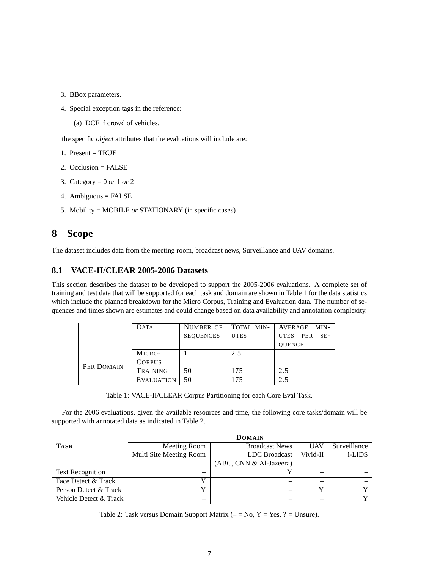- 3. BBox parameters.
- 4. Special exception tags in the reference:
	- (a) DCF if crowd of vehicles.

the specific *object* attributes that the evaluations will include are:

- 1. Present  $=$  TRUE
- 2. Occlusion = FALSE
- 3. Category = 0 *or* 1 *or* 2
- 4. Ambiguous = FALSE
- 5. Mobility = MOBILE *or* STATIONARY (in specific cases)

## **8 Scope**

The dataset includes data from the meeting room, broadcast news, Surveillance and UAV domains.

### **8.1 VACE-II/CLEAR 2005-2006 Datasets**

This section describes the dataset to be developed to support the 2005-2006 evaluations. A complete set of training and test data that will be supported for each task and domain are shown in Table 1 for the data statistics which include the planned breakdown for the Micro Corpus, Training and Evaluation data. The number of sequences and times shown are estimates and could change based on data availability and annotation complexity.

|            | DATA              | NUMBER OF        | TOTAL MIN-  | AVERAGE<br>MIN-   |
|------------|-------------------|------------------|-------------|-------------------|
|            |                   | <b>SEQUENCES</b> | <b>UTES</b> | UTES PER<br>$SE-$ |
|            |                   |                  |             | <b>OUENCE</b>     |
|            | MICRO-            |                  | 2.5         |                   |
| PER DOMAIN | <b>CORPUS</b>     |                  |             |                   |
|            | <b>TRAINING</b>   | 50               | 175         | 2.5               |
|            | <b>EVALUATION</b> | 50               | 175         | 2.5               |

Table 1: VACE-II/CLEAR Corpus Partitioning for each Core Eval Task.

For the 2006 evaluations, given the available resources and time, the following core tasks/domain will be supported with annotated data as indicated in Table 2.

|                         | <b>DOMAIN</b>           |                         |            |                |  |
|-------------------------|-------------------------|-------------------------|------------|----------------|--|
| <b>TASK</b>             | Meeting Room            | <b>Broadcast News</b>   | <b>UAV</b> | Surveillance   |  |
|                         | Multi Site Meeting Room | LDC Broadcast           | Vivid-II   | <i>i</i> -LIDS |  |
|                         |                         | (ABC, CNN & Al-Jazeera) |            |                |  |
| <b>Text Recognition</b> |                         |                         |            |                |  |
| Face Detect & Track     |                         |                         |            |                |  |
| Person Detect & Track   |                         |                         |            |                |  |
| Vehicle Detect & Track  |                         |                         |            | ٦Z             |  |

Table 2: Task versus Domain Support Matrix  $(-N)$ ,  $Y = Yes, ? = Unsure$ .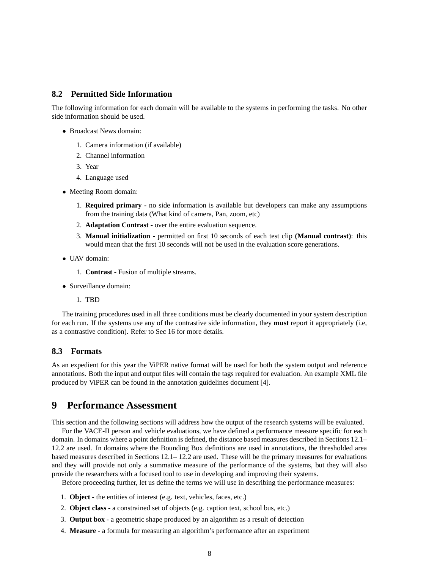### **8.2 Permitted Side Information**

The following information for each domain will be available to the systems in performing the tasks. No other side information should be used.

- Broadcast News domain:
	- 1. Camera information (if available)
	- 2. Channel information
	- 3. Year
	- 4. Language used
- Meeting Room domain:
	- 1. **Required primary -** no side information is available but developers can make any assumptions from the training data (What kind of camera, Pan, zoom, etc)
	- 2. **Adaptation Contrast -** over the entire evaluation sequence.
	- 3. **Manual initialization -** permitted on first 10 seconds of each test clip **(Manual contrast)**: this would mean that the first 10 seconds will not be used in the evaluation score generations.
- UAV domain:
	- 1. **Contrast -** Fusion of multiple streams.
- Surveillance domain:
	- 1. TBD

The training procedures used in all three conditions must be clearly documented in your system description for each run. If the systems use any of the contrastive side information, they **must** report it appropriately (i.e, as a contrastive condition). Refer to Sec 16 for more details.

### **8.3 Formats**

As an expedient for this year the ViPER native format will be used for both the system output and reference annotations. Both the input and output files will contain the tags required for evaluation. An example XML file produced by ViPER can be found in the annotation guidelines document [4].

### **9 Performance Assessment**

This section and the following sections will address how the output of the research systems will be evaluated.

For the VACE-II person and vehicle evaluations, we have defined a performance measure specific for each domain. In domains where a point definition is defined, the distance based measures described in Sections 12.1– 12.2 are used. In domains where the Bounding Box definitions are used in annotations, the thresholded area based measures described in Sections 12.1– 12.2 are used. These will be the primary measures for evaluations and they will provide not only a summative measure of the performance of the systems, but they will also provide the researchers with a focused tool to use in developing and improving their systems.

Before proceeding further, let us define the terms we will use in describing the performance measures:

- 1. **Object** the entities of interest (e.g. text, vehicles, faces, etc.)
- 2. **Object class** a constrained set of objects (e.g. caption text, school bus, etc.)
- 3. **Output box** a geometric shape produced by an algorithm as a result of detection
- 4. **Measure** a formula for measuring an algorithm's performance after an experiment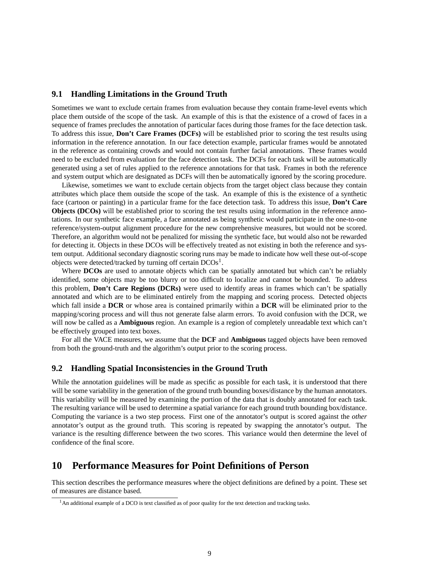#### **9.1 Handling Limitations in the Ground Truth**

Sometimes we want to exclude certain frames from evaluation because they contain frame-level events which place them outside of the scope of the task. An example of this is that the existence of a crowd of faces in a sequence of frames precludes the annotation of particular faces during those frames for the face detection task. To address this issue, **Don't Care Frames (DCFs)** will be established prior to scoring the test results using information in the reference annotation. In our face detection example, particular frames would be annotated in the reference as containing crowds and would not contain further facial annotations. These frames would need to be excluded from evaluation for the face detection task. The DCFs for each task will be automatically generated using a set of rules applied to the reference annotations for that task. Frames in both the reference and system output which are designated as DCFs will then be automatically ignored by the scoring procedure.

Likewise, sometimes we want to exclude certain objects from the target object class because they contain attributes which place them outside the scope of the task. An example of this is the existence of a synthetic face (cartoon or painting) in a particular frame for the face detection task. To address this issue, **Don't Care Objects** (DCOs) will be established prior to scoring the test results using information in the reference annotations. In our synthetic face example, a face annotated as being synthetic would participate in the one-to-one reference/system-output alignment procedure for the new comprehensive measures, but would not be scored. Therefore, an algorithm would not be penalized for missing the synthetic face, but would also not be rewarded for detecting it. Objects in these DCOs will be effectively treated as not existing in both the reference and system output. Additional secondary diagnostic scoring runs may be made to indicate how well these out-of-scope objects were detected/tracked by turning off certain  $DCOs<sup>1</sup>$ .

Where **DCOs** are used to annotate objects which can be spatially annotated but which can't be reliably identified, some objects may be too blurry or too difficult to localize and cannot be bounded. To address this problem, **Don't Care Regions (DCRs)** were used to identify areas in frames which can't be spatially annotated and which are to be eliminated entirely from the mapping and scoring process. Detected objects which fall inside a **DCR** or whose area is contained primarily within a **DCR** will be eliminated prior to the mapping/scoring process and will thus not generate false alarm errors. To avoid confusion with the DCR, we will now be called as a **Ambiguous** region. An example is a region of completely unreadable text which can't be effectively grouped into text boxes.

For all the VACE measures, we assume that the **DCF** and **Ambiguous** tagged objects have been removed from both the ground-truth and the algorithm's output prior to the scoring process.

#### **9.2 Handling Spatial Inconsistencies in the Ground Truth**

While the annotation guidelines will be made as specific as possible for each task, it is understood that there will be some variability in the generation of the ground truth bounding boxes/distance by the human annotators. This variability will be measured by examining the portion of the data that is doubly annotated for each task. The resulting variance will be used to determine a spatial variance for each ground truth bounding box/distance. Computing the variance is a two step process. First one of the annotator's output is scored against the *other* annotator's output as the ground truth. This scoring is repeated by swapping the annotator's output. The variance is the resulting difference between the two scores. This variance would then determine the level of confidence of the final score.

## **10 Performance Measures for Point Definitions of Person**

This section describes the performance measures where the object definitions are defined by a point. These set of measures are distance based.

<sup>&</sup>lt;sup>1</sup>An additional example of a DCO is text classified as of poor quality for the text detection and tracking tasks.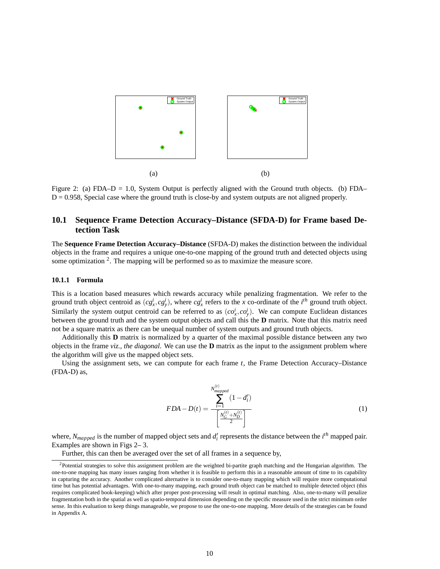

Figure 2: (a) FDA–D = 1.0, System Output is perfectly aligned with the Ground truth objects. (b) FDA– D = 0.958, Special case where the ground truth is close-by and system outputs are not aligned properly.

### **10.1 Sequence Frame Detection Accuracy–Distance (SFDA-D) for Frame based Detection Task**

The **Sequence Frame Detection Accuracy–Distance** (SFDA-D) makes the distinction between the individual objects in the frame and requires a unique one-to-one mapping of the ground truth and detected objects using some optimization  $2$ . The mapping will be performed so as to maximize the measure score.

#### **10.1.1 Formula**

This is a location based measures which rewards accuracy while penalizing fragmentation. We refer to the ground truth object centroid as  $(cg_x^i, cg_y^i)$ , where  $cg_x^i$  refers to the *x* co-ordinate of the *i*<sup>th</sup> ground truth object. Similarly the system output centroid can be referred to as  $(co<sub>x</sub><sup>i</sup>, co<sub>y</sub><sup>i</sup>)$ . We can compute Euclidean distances between the ground truth and the system output objects and call this the **D** matrix. Note that this matrix need not be a square matrix as there can be unequal number of system outputs and ground truth objects.

Additionally this **D** matrix is normalized by a quarter of the maximal possible distance between any two objects in the frame *viz., the diagonal*. We can use the **D** matrix as the input to the assignment problem where the algorithm will give us the mapped object sets.

Using the assignment sets, we can compute for each frame *t*, the Frame Detection Accuracy–Distance (FDA-D) as,

$$
FDA - D(t) = \frac{\sum_{i=1}^{N_{mapped}^{(t)}} (1 - d_i')}{\left[\frac{N_G^{(t)} + N_D^{(t)}}{2}\right]}
$$
(1)

where,  $N_{mapped}$  is the number of mapped object sets and  $d_i$  represents the distance between the  $i^{th}$  mapped pair. Examples are shown in Figs 2– 3.

Further, this can then be averaged over the set of all frames in a sequence by,

 $<sup>2</sup>$ Potential strategies to solve this assignment problem are the weighted bi-partite graph matching and the Hungarian algorithm. The</sup> one-to-one mapping has many issues ranging from whether it is feasible to perform this in a reasonable amount of time to its capability in capturing the accuracy. Another complicated alternative is to consider one-to-many mapping which will require more computational time but has potential advantages. With one-to-many mapping, each ground truth object can be matched to multiple detected object (this requires complicated book-keeping) which after proper post-processing will result in optimal matching. Also, one-to-many will penalize fragmentation both in the spatial as well as spatio-temporal dimension depending on the specific measure used in the strict minimum order sense. In this evaluation to keep things manageable, we propose to use the one-to-one mapping. More details of the strategies can be found in Appendix A.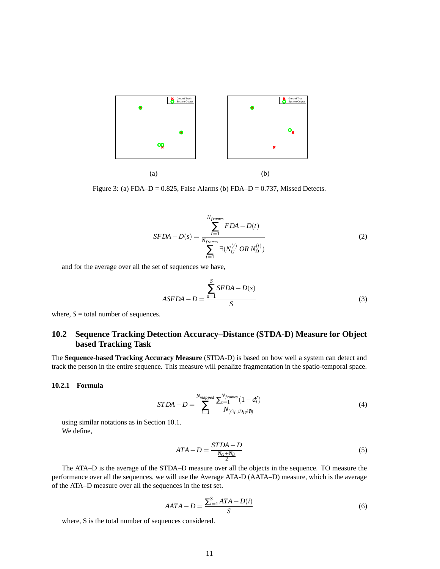

Figure 3: (a) FDA–D =  $0.825$ , False Alarms (b) FDA–D =  $0.737$ , Missed Detects.

$$
SFDA - D(s) = \frac{\sum_{t=1}^{N_{frames}} FDA - D(t)}{\sum_{t=1}^{N_{frames}} \exists (N_G^{(t)} \ OR \ N_D^{(t)})}
$$
(2)

and for the average over all the set of sequences we have,

$$
ASFDA - D = \frac{\sum_{s=1}^{S} SFDA - D(s)}{S}
$$
\n(3)

where,  $S =$  total number of sequences.

## **10.2 Sequence Tracking Detection Accuracy–Distance (STDA-D) Measure for Object based Tracking Task**

The **Sequence-based Tracking Accuracy Measure** (STDA-D) is based on how well a system can detect and track the person in the entire sequence. This measure will penalize fragmentation in the spatio-temporal space.

#### **10.2.1 Formula**

$$
STDA - D = \sum_{i=1}^{N_{mapped}} \frac{\sum_{t=1}^{N_{frames}} (1 - d'_t)}{N_{(G_i \cup D_i \neq 0)}}
$$
(4)

using similar notations as in Section 10.1. We define,

$$
ATA - D = \frac{STDA - D}{\frac{N_G + N_D}{2}}\tag{5}
$$

The ATA–D is the average of the STDA–D measure over all the objects in the sequence. TO measure the performance over all the sequences, we will use the Average ATA-D (AATA–D) measure, which is the average of the ATA–D measure over all the sequences in the test set.

$$
AATA - D = \frac{\sum_{i=1}^{S}ATA - D(i)}{S}
$$
\n<sup>(6)</sup>

where, S is the total number of sequences considered.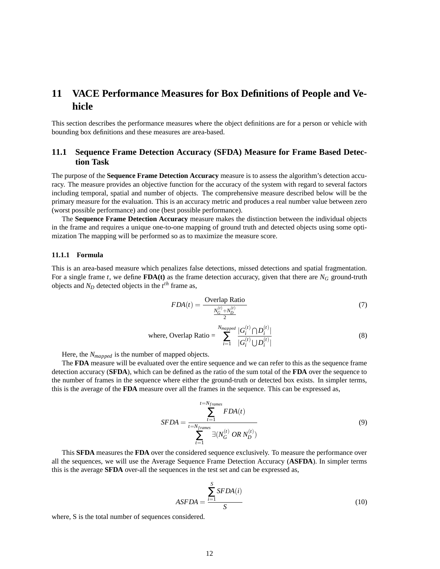## **11 VACE Performance Measures for Box Definitions of People and Vehicle**

This section describes the performance measures where the object definitions are for a person or vehicle with bounding box definitions and these measures are area-based.

### **11.1 Sequence Frame Detection Accuracy (SFDA) Measure for Frame Based Detection Task**

The purpose of the **Sequence Frame Detection Accuracy** measure is to assess the algorithm's detection accuracy. The measure provides an objective function for the accuracy of the system with regard to several factors including temporal, spatial and number of objects. The comprehensive measure described below will be the primary measure for the evaluation. This is an accuracy metric and produces a real number value between zero (worst possible performance) and one (best possible performance).

The **Sequence Frame Detection Accuracy** measure makes the distinction between the individual objects in the frame and requires a unique one-to-one mapping of ground truth and detected objects using some optimization The mapping will be performed so as to maximize the measure score.

#### **11.1.1 Formula**

This is an area-based measure which penalizes false detections, missed detections and spatial fragmentation. For a single frame *t*, we define **FDA(t)** as the frame detection accuracy, given that there are  $N_G$  ground-truth objects and  $N_D$  detected objects in the  $t^{th}$  frame as,

$$
FDA(t) = \frac{\text{Overlap Ratio}}{\frac{N_G^{(t)} + N_D^{(t)}}{2}}\tag{7}
$$

where, Overlap Ratio = 
$$
\sum_{i=1}^{N_{mapped}} \frac{|G_i^{(t)} \cap D_i^{(t)}|}{|G_i^{(t)} \cup D_i^{(t)}|}
$$
 (8)

Here, the *Nmapped* is the number of mapped objects.

The **FDA** measure will be evaluated over the entire sequence and we can refer to this as the sequence frame detection accuracy (**SFDA**), which can be defined as the ratio of the sum total of the **FDA** over the sequence to the number of frames in the sequence where either the ground-truth or detected box exists. In simpler terms, this is the average of the **FDA** measure over all the frames in the sequence. This can be expressed as,

$$
SFDA = \frac{\sum_{t=1}^{t=N_{frames}} FDA(t)}{\sum_{t=1}^{t=N_{frames}} \exists (N_G^{(t)} \ OR \ N_D^{(t)})}
$$
(9)

This **SFDA** measures the **FDA** over the considered sequence exclusively. To measure the performance over all the sequences, we will use the Average Sequence Frame Detection Accuracy (**ASFDA**). In simpler terms this is the average **SFDA** over-all the sequences in the test set and can be expressed as,

$$
ASFDA = \frac{\sum_{i=1}^{S} SFDA(i)}{S}
$$
 (10)

where, S is the total number of sequences considered.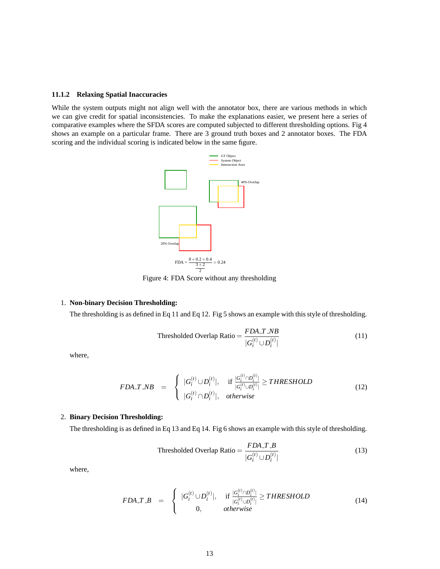#### **11.1.2 Relaxing Spatial Inaccuracies**

While the system outputs might not align well with the annotator box, there are various methods in which we can give credit for spatial inconsistencies. To make the explanations easier, we present here a series of comparative examples where the SFDA scores are computed subjected to different thresholding options. Fig 4 shows an example on a particular frame. There are 3 ground truth boxes and 2 annotator boxes. The FDA scoring and the individual scoring is indicated below in the same figure.



Figure 4: FDA Score without any thresholding

#### 1. **Non-binary Decision Thresholding:**

The thresholding is as defined in Eq 11 and Eq 12. Fig 5 shows an example with this style of thresholding.

Thresholded Overlap Ratio = 
$$
\frac{FDA\_T\_NB}{|G_i^{(t)} \cup D_i^{(t)}|}
$$
 (11)

where,

$$
FDA\_T\_NB = \begin{cases} |G_i^{(t)} \cup D_i^{(t)}|, & \text{if } \frac{|G_i^{(t)} \cap D_i^{(t)}|}{|G_i^{(t)} \cup D_i^{(t)}|} \geq THRESHOLD\\ |G_i^{(t)} \cap D_i^{(t)}|, & otherwise \end{cases}
$$
(12)

#### 2. **Binary Decision Thresholding:**

The thresholding is as defined in Eq 13 and Eq 14. Fig 6 shows an example with this style of thresholding.

Thresholded Overlap Ratio = 
$$
\frac{FDA.T.B}{|G_i^{(t)} \cup D_i^{(t)}|}
$$
 (13)

where,

$$
FDA\_T\_B = \begin{cases} |G_i^{(t)} \cup D_i^{(t)}|, & \text{if } \frac{|G_i^{(t)} \cap D_i^{(t)}|}{|G_i^{(t)} \cup D_i^{(t)}|} \geq THRESHOLD \\ 0, & \text{otherwise} \end{cases}
$$
(14)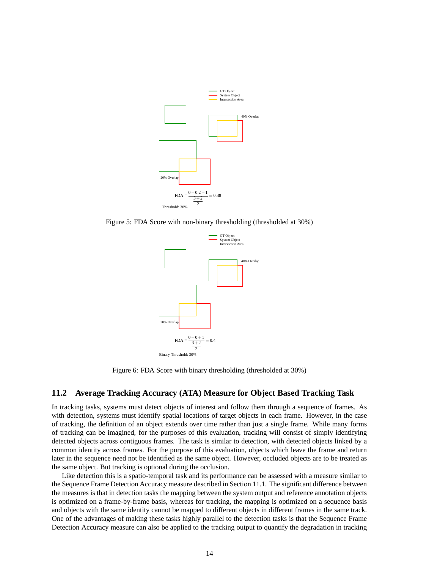

Figure 5: FDA Score with non-binary thresholding (thresholded at 30%)



Figure 6: FDA Score with binary thresholding (thresholded at 30%)

### **11.2 Average Tracking Accuracy (ATA) Measure for Object Based Tracking Task**

In tracking tasks, systems must detect objects of interest and follow them through a sequence of frames. As with detection, systems must identify spatial locations of target objects in each frame. However, in the case of tracking, the definition of an object extends over time rather than just a single frame. While many forms of tracking can be imagined, for the purposes of this evaluation, tracking will consist of simply identifying detected objects across contiguous frames. The task is similar to detection, with detected objects linked by a common identity across frames. For the purpose of this evaluation, objects which leave the frame and return later in the sequence need not be identified as the same object. However, occluded objects are to be treated as the same object. But tracking is optional during the occlusion.

Like detection this is a spatio-temporal task and its performance can be assessed with a measure similar to the Sequence Frame Detection Accuracy measure described in Section 11.1. The significant difference between the measures is that in detection tasks the mapping between the system output and reference annotation objects is optimized on a frame-by-frame basis, whereas for tracking, the mapping is optimized on a sequence basis and objects with the same identity cannot be mapped to different objects in different frames in the same track. One of the advantages of making these tasks highly parallel to the detection tasks is that the Sequence Frame Detection Accuracy measure can also be applied to the tracking output to quantify the degradation in tracking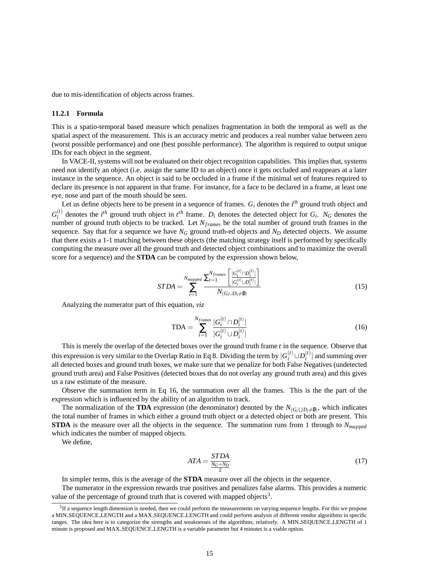due to mis-identification of objects across frames.

#### **11.2.1 Formula**

This is a spatio-temporal based measure which penalizes fragmentation in both the temporal as well as the spatial aspect of the measurement. This is an accuracy metric and produces a real number value between zero (worst possible performance) and one (best possible performance). The algorithm is required to output unique IDs for each object in the segment.

In VACE-II, systems will not be evaluated on their object recognition capabilities. This implies that, systems need not identify an object (i.e. assign the same ID to an object) once it gets occluded and reappears at a later instance in the sequence. An object is said to be occluded in a frame if the minimal set of features required to declare its presence is not apparent in that frame. For instance, for a face to be declared in a frame, at least one eye, nose and part of the mouth should be seen.

Let us define objects here to be present in a sequence of frames. *G<sup>i</sup>* denotes the *i th* ground truth object and  $G_i^{(t)}$  $I_i^{(t)}$  denotes the *i*<sup>th</sup> ground truth object in *t*<sup>th</sup> frame. *D<sub>i</sub>* denotes the detected object for *G<sub>i</sub>*. *N<sub>G</sub>* denotes the number of ground truth objects to be tracked. Let *Nframes* be the total number of ground truth frames in the sequence. Say that for a sequence we have  $N_G$  ground truth-ed objects and  $N_D$  detected objects. We assume that there exists a 1-1 matching between these objects (the matching strategy itself is performed by specifically computing the measure over all the ground truth and detected object combinations and to maximize the overall score for a sequence) and the **STDA** can be computed by the expression shown below,

$$
STDA = \sum_{i=1}^{N_{mapped}} \frac{\sum_{t=1}^{N_{frames}} \left[ \frac{|G_i^{(t)} \cap D_i^{(t)}|}{|G_i^{(t)} \cup D_i^{(t)}|} \right]}{N_{(G_i \cup D_i \neq \emptyset)}}
$$
(15)

Analyzing the numerator part of this equation, *viz*

$$
TDA = \sum_{t=1}^{N_{frames}} \frac{|G_i^{(t)} \cap D_i^{(t)}|}{|G_i^{(t)} \cup D_i^{(t)}|}
$$
(16)

This is merely the overlap of the detected boxes over the ground truth frame *t* in the sequence. Observe that this expression is very similar to the Overlap Ratio in Eq 8. Dividing the term by  $|G_i^{(t)} \cup D_i^{(t)}|$  $\binom{v}{i}$  and summing over all detected boxes and ground truth boxes, we make sure that we penalize for both False Negatives (undetected ground truth area) and False Positives (detected boxes that do not overlay any ground truth area) and this gives us a raw estimate of the measure.

Observe the summation term in Eq 16, the summation over all the frames. This is the the part of the expression which is influenced by the ability of an algorithm to track.

The normalization of the **TDA** expression (the denominator) denoted by the  $N_{(G_i \cup D_i \neq \emptyset)}$ , which indicates the total number of frames in which either a ground truth object or a detected object or both are present. This **STDA** is the measure over all the objects in the sequence. The summation runs from 1 through to *Nmapped* which indicates the number of mapped objects.

We define,

$$
ATA = \frac{STDA}{\frac{N_G + N_D}{2}}\tag{17}
$$

In simpler terms, this is the average of the **STDA** measure over all the objects in the sequence.

The numerator in the expression rewards true positives and penalizes false alarms. This provides a numeric value of the percentage of ground truth that is covered with mapped objects<sup>3</sup>.

 ${}^{3}$ If a sequence length dimension is needed, then we could perform the measurements on varying sequence lengths. For this we propose a MIN SEQUENCE LENGTH and a MAX SEQUENCE LENGTH and could perform analysis of different vendor algorithms in specific ranges. The idea here is to categorize the strengths and weaknesses of the algorithms, relatively. A MIN SEQUENCE LENGTH of 1 minute is proposed and MAX SEQUENCE LENGTH is a variable parameter but 4 minutes is a viable option.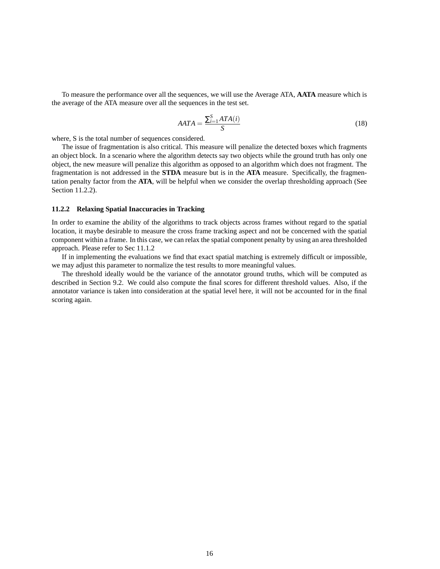To measure the performance over all the sequences, we will use the Average ATA, **AATA** measure which is the average of the ATA measure over all the sequences in the test set.

$$
AATA = \frac{\sum_{i=1}^{S}ATA(i)}{S}
$$
\n(18)

where, S is the total number of sequences considered.

The issue of fragmentation is also critical. This measure will penalize the detected boxes which fragments an object block. In a scenario where the algorithm detects say two objects while the ground truth has only one object, the new measure will penalize this algorithm as opposed to an algorithm which does not fragment. The fragmentation is not addressed in the **STDA** measure but is in the **ATA** measure. Specifically, the fragmentation penalty factor from the **ATA**, will be helpful when we consider the overlap thresholding approach (See Section 11.2.2).

#### **11.2.2 Relaxing Spatial Inaccuracies in Tracking**

In order to examine the ability of the algorithms to track objects across frames without regard to the spatial location, it maybe desirable to measure the cross frame tracking aspect and not be concerned with the spatial component within a frame. In this case, we can relax the spatial component penalty by using an area thresholded approach. Please refer to Sec 11.1.2

If in implementing the evaluations we find that exact spatial matching is extremely difficult or impossible, we may adjust this parameter to normalize the test results to more meaningful values.

The threshold ideally would be the variance of the annotator ground truths, which will be computed as described in Section 9.2. We could also compute the final scores for different threshold values. Also, if the annotator variance is taken into consideration at the spatial level here, it will not be accounted for in the final scoring again.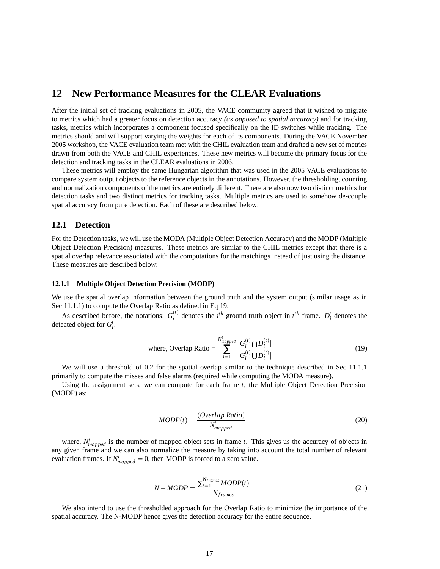## **12 New Performance Measures for the CLEAR Evaluations**

After the initial set of tracking evaluations in 2005, the VACE community agreed that it wished to migrate to metrics which had a greater focus on detection accuracy *(as opposed to spatial accuracy)* and for tracking tasks, metrics which incorporates a component focused specifically on the ID switches while tracking. The metrics should and will support varying the weights for each of its components. During the VACE November 2005 workshop, the VACE evaluation team met with the CHIL evaluation team and drafted a new set of metrics drawn from both the VACE and CHIL experiences. These new metrics will become the primary focus for the detection and tracking tasks in the CLEAR evaluations in 2006.

These metrics will employ the same Hungarian algorithm that was used in the 2005 VACE evaluations to compare system output objects to the reference objects in the annotations. However, the thresholding, counting and normalization components of the metrics are entirely different. There are also now two distinct metrics for detection tasks and two distinct metrics for tracking tasks. Multiple metrics are used to somehow de-couple spatial accuracy from pure detection. Each of these are described below:

#### **12.1 Detection**

For the Detection tasks, we will use the MODA (Multiple Object Detection Accuracy) and the MODP (Multiple Object Detection Precision) measures. These metrics are similar to the CHIL metrics except that there is a spatial overlap relevance associated with the computations for the matchings instead of just using the distance. These measures are described below:

#### **12.1.1 Multiple Object Detection Precision (MODP)**

We use the spatial overlap information between the ground truth and the system output (similar usage as in Sec 11.1.1) to compute the Overlap Ratio as defined in Eq 19.

As described before, the notations:  $G_i^{(t)}$  $i^{(t)}$  denotes the *i*<sup>th</sup> ground truth object in *t*<sup>th</sup> frame. *D*<sup>*t*</sup><sub>*i*</sub> denotes the detected object for *G t i* .

where, Overlap Ratio = 
$$
\sum_{i=1}^{N_{mapped}^{t}} \frac{|G_i^{(t)} \cap D_i^{(t)}|}{|G_i^{(t)} \cup D_i^{(t)}|}
$$
 (19)

We will use a threshold of 0.2 for the spatial overlap similar to the technique described in Sec 11.1.1 primarily to compute the misses and false alarms (required while computing the MODA measure).

Using the assignment sets, we can compute for each frame *t*, the Multiple Object Detection Precision (MODP) as:

$$
MODP(t) = \frac{(Overlap Ratio)}{N_{mapped}^t}
$$
\n(20)

where,  $N_{mapped}^t$  is the number of mapped object sets in frame *t*. This gives us the accuracy of objects in any given frame and we can also normalize the measure by taking into account the total number of relevant evaluation frames. If  $N_{mapped}^t = 0$ , then MODP is forced to a zero value.

$$
N-MODP = \frac{\sum_{t=1}^{N_{frames}} MODP(t)}{N_{frames}}
$$
\n(21)

We also intend to use the thresholded approach for the Overlap Ratio to minimize the importance of the spatial accuracy. The N-MODP hence gives the detection accuracy for the entire sequence.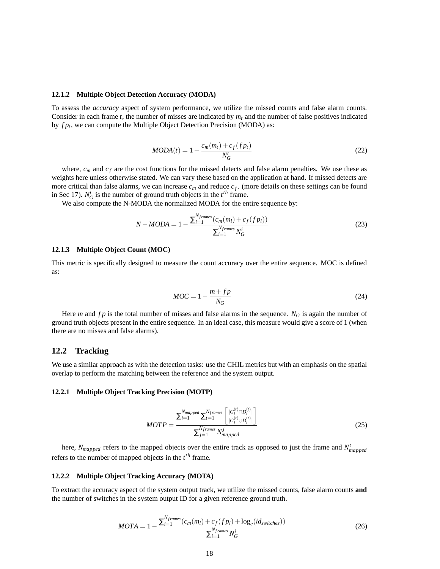#### **12.1.2 Multiple Object Detection Accuracy (MODA)**

To assess the *accuracy* aspect of system performance, we utilize the missed counts and false alarm counts. Consider in each frame  $t$ , the number of misses are indicated by  $m_t$  and the number of false positives indicated by *f p<sup>t</sup>* , we can compute the Multiple Object Detection Precision (MODA) as:

$$
MODA(t) = 1 - \frac{c_m(m_t) + c_f(fp_t)}{N_G^t}
$$
\n(22)

where,  $c_m$  and  $c_f$  are the cost functions for the missed detects and false alarm penalties. We use these as weights here unless otherwise stated. We can vary these based on the application at hand. If missed detects are more critical than false alarms, we can increase  $c_m$  and reduce  $c_f$ . (more details on these settings can be found in Sec 17).  $N_G^t$  is the number of ground truth objects in the  $t^{th}$  frame.

We also compute the N-MODA the normalized MODA for the entire sequence by:

$$
N - MODA = 1 - \frac{\sum_{i=1}^{N_{frames}} (c_m(m_i) + c_f(fp_i))}{\sum_{i=1}^{N_{frames}} N_G^i}
$$
(23)

#### **12.1.3 Multiple Object Count (MOC)**

This metric is specifically designed to measure the count accuracy over the entire sequence. MOC is defined as:

$$
MOC = 1 - \frac{m + fp}{N_G} \tag{24}
$$

Here *m* and  $fp$  is the total number of misses and false alarms in the sequence.  $N_G$  is again the number of ground truth objects present in the entire sequence. In an ideal case, this measure would give a score of 1 (when there are no misses and false alarms).

#### **12.2 Tracking**

We use a similar approach as with the detection tasks: use the CHIL metrics but with an emphasis on the spatial overlap to perform the matching between the reference and the system output.

#### **12.2.1 Multiple Object Tracking Precision (MOTP)**

$$
MOTP = \frac{\sum_{i=1}^{N_{mapped}} \sum_{t=1}^{N_{frames}} \left[ \frac{|G_i^{(t)} \cap D_i^{(t)}|}{|G_i^{(t)} \cup D_i^{(t)}|} \right]}{\sum_{j=1}^{N_{frames}} N_{mapped}^j}
$$
(25)

here, *Nmapped* refers to the mapped objects over the entire track as opposed to just the frame and *N t mapped* refers to the number of mapped objects in the  $t^{th}$  frame.

#### **12.2.2 Multiple Object Tracking Accuracy (MOTA)**

To extract the accuracy aspect of the system output track, we utilize the missed counts, false alarm counts **and** the number of switches in the system output ID for a given reference ground truth.

$$
MOTA = 1 - \frac{\sum_{i=1}^{N_{frames}} (c_m(m_i) + c_f(fp_i) + \log_e(id_{switches}))}{\sum_{i=1}^{N_{frames}} N_G^i}
$$
(26)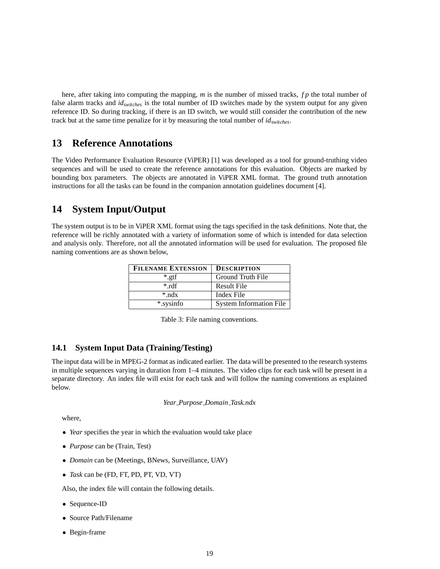here, after taking into computing the mapping, *m* is the number of missed tracks, *fp* the total number of false alarm tracks and *idswitches* is the total number of ID switches made by the system output for any given reference ID. So during tracking, if there is an ID switch, we would still consider the contribution of the new track but at the same time penalize for it by measuring the total number of *idswitches*.

## **13 Reference Annotations**

The Video Performance Evaluation Resource (ViPER) [1] was developed as a tool for ground-truthing video sequences and will be used to create the reference annotations for this evaluation. Objects are marked by bounding box parameters. The objects are annotated in ViPER XML format. The ground truth annotation instructions for all the tasks can be found in the companion annotation guidelines document [4].

## **14 System Input/Output**

The system output is to be in ViPER XML format using the tags specified in the task definitions. Note that, the reference will be richly annotated with a variety of information some of which is intended for data selection and analysis only. Therefore, not all the annotated information will be used for evaluation. The proposed file naming conventions are as shown below,

| <b>FILENAME EXTENSION</b> | <b>DESCRIPTION</b>             |
|---------------------------|--------------------------------|
| $*$ .gtf                  | Ground Truth File              |
| $*$ rdf                   | <b>Result File</b>             |
| $*$ .ndx                  | Index File                     |
| *.sysinfo                 | <b>System Information File</b> |

Table 3: File naming conventions.

### **14.1 System Input Data (Training/Testing)**

The input data will be in MPEG-2 format as indicated earlier. The data will be presented to the research systems in multiple sequences varying in duration from 1–4 minutes. The video clips for each task will be present in a separate directory. An index file will exist for each task and will follow the naming conventions as explained below.

*Year Purpose Domain Task.ndx*

where,

- *Year* specifies the year in which the evaluation would take place
- *Purpose* can be (Train, Test)
- *Domain* can be (Meetings, BNews, Surveillance, UAV)
- *Task* can be (FD, FT, PD, PT, VD, VT)

Also, the index file will contain the following details.

- Sequence-ID
- Source Path/Filename
- Begin-frame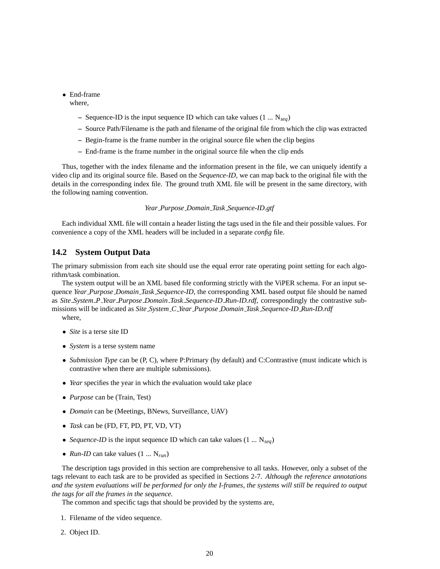• End-frame

where,

- **–** Sequence-ID is the input sequence ID which can take values (1 ... N*seq*)
- **–** Source Path/Filename is the path and filename of the original file from which the clip was extracted
- **–** Begin-frame is the frame number in the original source file when the clip begins
- **–** End-frame is the frame number in the original source file when the clip ends

Thus, together with the index filename and the information present in the file, we can uniquely identify a video clip and its original source file. Based on the *Sequence-ID*, we can map back to the original file with the details in the corresponding index file. The ground truth XML file will be present in the same directory, with the following naming convention.

#### *Year Purpose Domain Task Sequence-ID.gtf*

Each individual XML file will contain a header listing the tags used in the file and their possible values. For convenience a copy of the XML headers will be included in a separate *config* file.

### **14.2 System Output Data**

The primary submission from each site should use the equal error rate operating point setting for each algorithm/task combination.

The system output will be an XML based file conforming strictly with the ViPER schema. For an input sequence *Year Purpose Domain Task Sequence-ID*, the corresponding XML based output file should be named as *Site System P Year Purpose Domain Task Sequence-ID Run-ID.rdf*, correspondingly the contrastive submissions will be indicated as *Site System C Year Purpose Domain Task Sequence-ID Run-ID.rdf* where,

- *Site* is a terse site ID
- *System* is a terse system name
- *Submission Type* can be (P, C), where P:Primary (by default) and C:Contrastive (must indicate which is contrastive when there are multiple submissions).
- *Year* specifies the year in which the evaluation would take place
- *Purpose* can be (Train, Test)
- *Domain* can be (Meetings, BNews, Surveillance, UAV)
- *Task* can be (FD, FT, PD, PT, VD, VT)
- *Sequence-ID* is the input sequence ID which can take values (1 ... N*seq*)
- *Run-ID* can take values (1 ... N*run*)

The description tags provided in this section are comprehensive to all tasks. However, only a subset of the tags relevant to each task are to be provided as specified in Sections 2-7. *Although the reference annotations* and the system evaluations will be performed for only the I-frames, the systems will still be required to output *the tags for all the frames in the sequence.*

The common and specific tags that should be provided by the systems are,

- 1. Filename of the video sequence.
- 2. Object ID.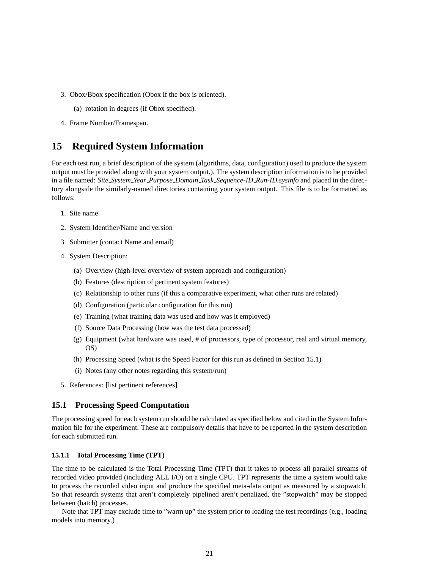- 3. Obox/Bbox specification (Obox if the box is oriented).
	- (a) rotation in degrees (if Obox specified).
- 4. Frame Number/Framespan.

## **15 Required System Information**

For each test run, a brief description of the system (algorithms, data, configuration) used to produce the system output must be provided along with your system output.). The system description information is to be provided in a file named: *Site System Year Purpose Domain Task Sequence-ID Run-ID.sysinfo* and placed in the directory alongside the similarly-named directories containing your system output. This file is to be formatted as follows:

- 1. Site name
- 2. System Identifier/Name and version
- 3. Submitter (contact Name and email)
- 4. System Description:
	- (a) Overview (high-level overview of system approach and configuration)
	- (b) Features (description of pertinent system features)
	- (c) Relationship to other runs (if this a comparative experiment, what other runs are related)
	- (d) Configuration (particular configuration for this run)
	- (e) Training (what training data was used and how was it employed)
	- (f) Source Data Processing (how was the test data processed)
	- (g) Equipment (what hardware was used, # of processors, type of processor, real and virtual memory, OS)
	- (h) Processing Speed (what is the Speed Factor for this run as defined in Section 15.1)
	- (i) Notes (any other notes regarding this system/run)
- 5. References: [list pertinent references]

### **15.1 Processing Speed Computation**

The processing speed for each system run should be calculated as specified below and cited in the System Information file for the experiment. These are compulsory details that have to be reported in the system description for each submitted run.

#### **15.1.1 Total Processing Time (TPT)**

The time to be calculated is the Total Processing Time (TPT) that it takes to process all parallel streams of recorded video provided (including ALL I/O) on a single CPU. TPT represents the time a system would take to process the recorded video input and produce the specified meta-data output as measured by a stopwatch. So that research systems that aren't completely pipelined aren't penalized, the "stopwatch" may be stopped between (batch) processes.

Note that TPT may exclude time to "warm up" the system prior to loading the test recordings (e.g., loading models into memory.)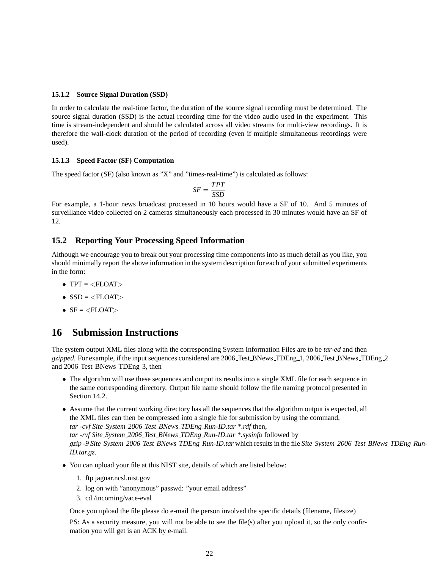#### **15.1.2 Source Signal Duration (SSD)**

In order to calculate the real-time factor, the duration of the source signal recording must be determined. The source signal duration (SSD) is the actual recording time for the video audio used in the experiment. This time is stream-independent and should be calculated across all video streams for multi-view recordings. It is therefore the wall-clock duration of the period of recording (even if multiple simultaneous recordings were used).

#### **15.1.3 Speed Factor (SF) Computation**

The speed factor (SF) (also known as "X" and "times-real-time") is calculated as follows:

$$
SF = \frac{TPT}{SSD}
$$

For example, a 1-hour news broadcast processed in 10 hours would have a SF of 10. And 5 minutes of surveillance video collected on 2 cameras simultaneously each processed in 30 minutes would have an SF of 12.

### **15.2 Reporting Your Processing Speed Information**

Although we encourage you to break out your processing time components into as much detail as you like, you should minimally report the above information in the system description for each of your submitted experiments in the form:

- TPT  $=$   $<$ FLOAT $>$
- $\bullet$  SSD =  $\lt$ FLOAT $>$
- $SF =$

## **16 Submission Instructions**

The system output XML files along with the corresponding System Information Files are to be *tar-ed* and then *gzipped*. For example, if the input sequences considered are 2006 Test BNews TDEng 1, 2006 Test BNews TDEng 2 and 2006 Test BNews TDEng 3, then

- The algorithm will use these sequences and output its results into a single XML file for each sequence in the same corresponding directory. Output file name should follow the file naming protocol presented in Section 14.2.
- Assume that the current working directory has all the sequences that the algorithm output is expected, all the XML files can then be compressed into a single file for submission by using the command, *tar -cvf Site System 2006 Test BNews TDEng Run-ID.tar \*.rdf* then, *tar -rvf Site System 2006 Test BNews TDEng Run-ID.tar \*.sysinfo* followed by gzip -9 Site\_System\_2006\_Test\_BNews\_TDEng\_Run-ID.tar which results in the file Site\_System\_2006\_Test\_BNews\_TDEng\_Run-*ID.tar.gz*.
- You can upload your file at this NIST site, details of which are listed below:
	- 1. ftp jaguar.ncsl.nist.gov
	- 2. log on with "anonymous" passwd: "your email address"
	- 3. cd /incoming/vace-eval

Once you upload the file please do e-mail the person involved the specific details (filename, filesize)

PS: As a security measure, you will not be able to see the file(s) after you upload it, so the only confirmation you will get is an ACK by e-mail.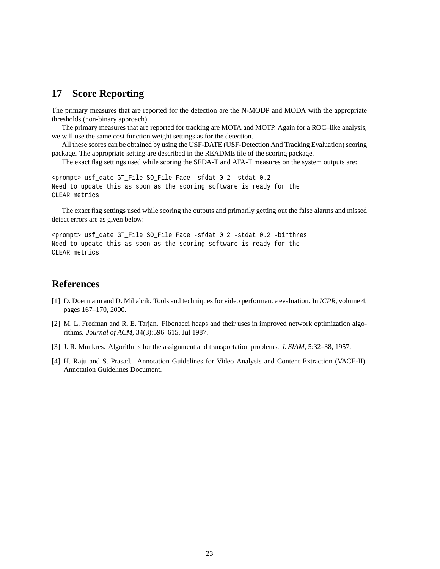## **17 Score Reporting**

The primary measures that are reported for the detection are the N-MODP and MODA with the appropriate thresholds (non-binary approach).

The primary measures that are reported for tracking are MOTA and MOTP. Again for a ROC–like analysis, we will use the same cost function weight settings as for the detection.

All these scores can be obtained by using the USF-DATE (USF-Detection And Tracking Evaluation) scoring package. The appropriate setting are described in the README file of the scoring package.

The exact flag settings used while scoring the SFDA-T and ATA-T measures on the system outputs are:

```
<prompt> usf_date GT_File SO_File Face -sfdat 0.2 -stdat 0.2
Need to update this as soon as the scoring software is ready for the
CLEAR metrics
```
The exact flag settings used while scoring the outputs and primarily getting out the false alarms and missed detect errors are as given below:

```
<prompt> usf_date GT_File SO_File Face -sfdat 0.2 -stdat 0.2 -binthres
Need to update this as soon as the scoring software is ready for the
CLEAR metrics
```
## **References**

- [1] D. Doermann and D. Mihalcik. Tools and techniques for video performance evaluation. In *ICPR*, volume 4, pages 167–170, 2000.
- [2] M. L. Fredman and R. E. Tarjan. Fibonacci heaps and their uses in improved network optimization algorithms. *Journal of ACM*, 34(3):596–615, Jul 1987.
- [3] J. R. Munkres. Algorithms for the assignment and transportation problems. *J. SIAM*, 5:32–38, 1957.
- [4] H. Raju and S. Prasad. Annotation Guidelines for Video Analysis and Content Extraction (VACE-II). Annotation Guidelines Document.